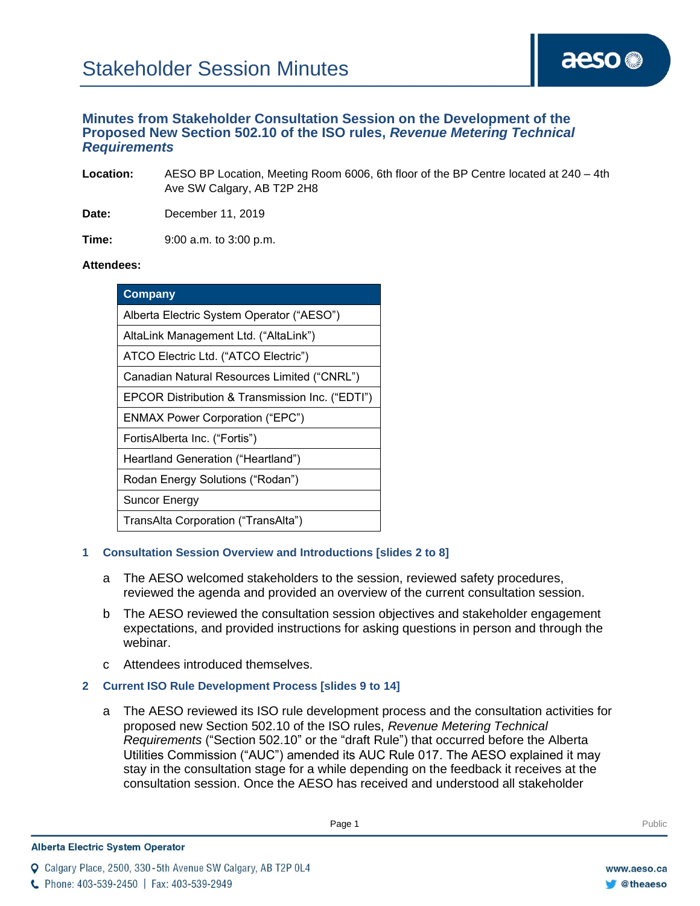# **Minutes from Stakeholder Consultation Session on the Development of the Proposed New Section 502.10 of the ISO rules,** *Revenue Metering Technical Requirements*

**Location:** AESO BP Location, Meeting Room 6006, 6th floor of the BP Centre located at 240 – 4th Ave SW Calgary, AB T2P 2H8

**Date:** December 11, 2019

**Time:** 9:00 a.m. to 3:00 p.m.

### **Attendees:**

| Company                                         |
|-------------------------------------------------|
| Alberta Electric System Operator ("AESO")       |
| AltaLink Management Ltd. ("AltaLink")           |
| ATCO Electric Ltd. ("ATCO Electric")            |
| Canadian Natural Resources Limited ("CNRL")     |
| EPCOR Distribution & Transmission Inc. ("EDTI") |
| <b>ENMAX Power Corporation ("EPC")</b>          |
| FortisAlberta Inc. ("Fortis")                   |
| Heartland Generation ("Heartland")              |
| Rodan Energy Solutions ("Rodan")                |
| <b>Suncor Energy</b>                            |
| TransAlta Corporation ("TransAlta")             |

# **1 Consultation Session Overview and Introductions [slides 2 to 8]**

- a The AESO welcomed stakeholders to the session, reviewed safety procedures, reviewed the agenda and provided an overview of the current consultation session.
- b The AESO reviewed the consultation session objectives and stakeholder engagement expectations, and provided instructions for asking questions in person and through the webinar.
- c Attendees introduced themselves.
- **2 Current ISO Rule Development Process [slides 9 to 14]**
	- a The AESO reviewed its ISO rule development process and the consultation activities for proposed new Section 502.10 of the ISO rules, *Revenue Metering Technical Requirements* ("Section 502.10" or the "draft Rule") that occurred before the Alberta Utilities Commission ("AUC") amended its AUC Rule 017. The AESO explained it may stay in the consultation stage for a while depending on the feedback it receives at the consultation session. Once the AESO has received and understood all stakeholder

Q Calgary Place, 2500, 330-5th Avenue SW Calgary, AB T2P 0L4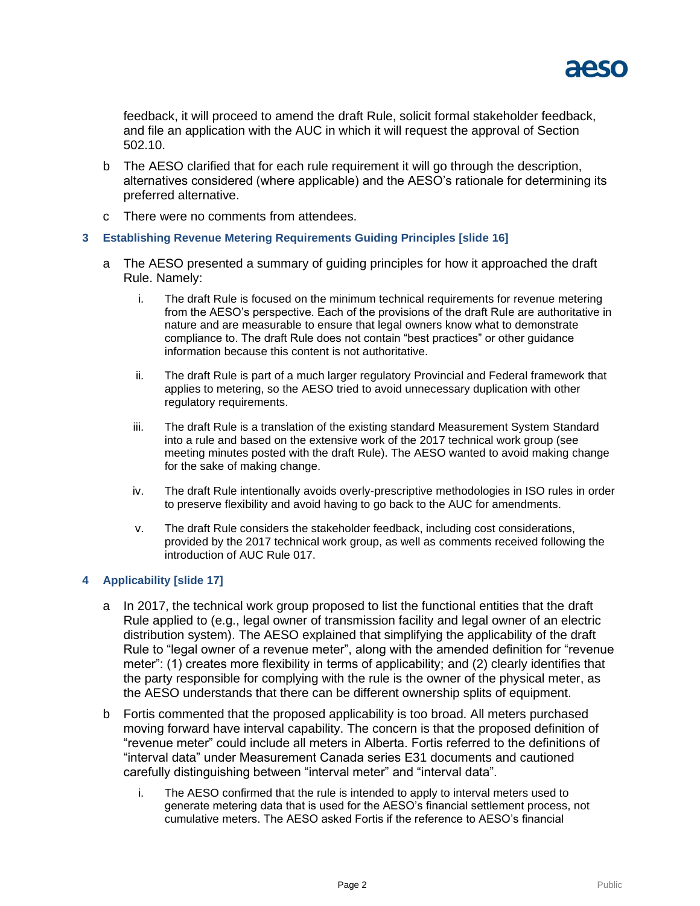

feedback, it will proceed to amend the draft Rule, solicit formal stakeholder feedback, and file an application with the AUC in which it will request the approval of Section 502.10.

- b The AESO clarified that for each rule requirement it will go through the description, alternatives considered (where applicable) and the AESO's rationale for determining its preferred alternative.
- c There were no comments from attendees.

### **3 Establishing Revenue Metering Requirements Guiding Principles [slide 16]**

- a The AESO presented a summary of guiding principles for how it approached the draft Rule. Namely:
	- i. The draft Rule is focused on the minimum technical requirements for revenue metering from the AESO's perspective. Each of the provisions of the draft Rule are authoritative in nature and are measurable to ensure that legal owners know what to demonstrate compliance to. The draft Rule does not contain "best practices" or other guidance information because this content is not authoritative.
	- ii. The draft Rule is part of a much larger regulatory Provincial and Federal framework that applies to metering, so the AESO tried to avoid unnecessary duplication with other regulatory requirements.
	- iii. The draft Rule is a translation of the existing standard Measurement System Standard into a rule and based on the extensive work of the 2017 technical work group (see meeting minutes posted with the draft Rule). The AESO wanted to avoid making change for the sake of making change.
	- iv. The draft Rule intentionally avoids overly-prescriptive methodologies in ISO rules in order to preserve flexibility and avoid having to go back to the AUC for amendments.
	- v. The draft Rule considers the stakeholder feedback, including cost considerations, provided by the 2017 technical work group, as well as comments received following the introduction of AUC Rule 017.

### **4 Applicability [slide 17]**

- a In 2017, the technical work group proposed to list the functional entities that the draft Rule applied to (e.g., legal owner of transmission facility and legal owner of an electric distribution system). The AESO explained that simplifying the applicability of the draft Rule to "legal owner of a revenue meter", along with the amended definition for "revenue meter": (1) creates more flexibility in terms of applicability; and (2) clearly identifies that the party responsible for complying with the rule is the owner of the physical meter, as the AESO understands that there can be different ownership splits of equipment.
- b Fortis commented that the proposed applicability is too broad. All meters purchased moving forward have interval capability. The concern is that the proposed definition of "revenue meter" could include all meters in Alberta. Fortis referred to the definitions of "interval data" under Measurement Canada series E31 documents and cautioned carefully distinguishing between "interval meter" and "interval data".
	- i. The AESO confirmed that the rule is intended to apply to interval meters used to generate metering data that is used for the AESO's financial settlement process, not cumulative meters. The AESO asked Fortis if the reference to AESO's financial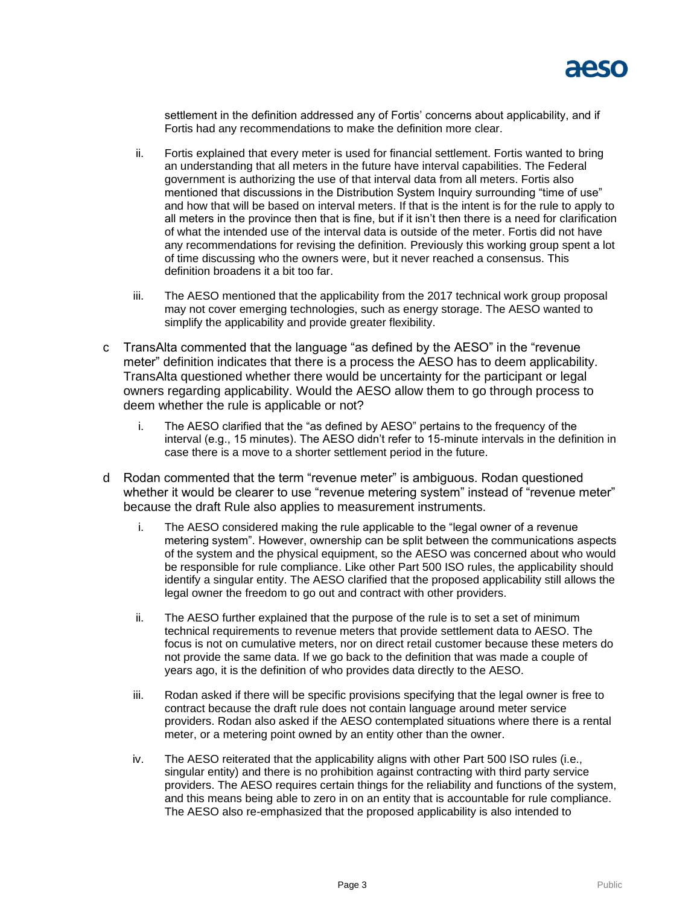

settlement in the definition addressed any of Fortis' concerns about applicability, and if Fortis had any recommendations to make the definition more clear.

- ii. Fortis explained that every meter is used for financial settlement. Fortis wanted to bring an understanding that all meters in the future have interval capabilities. The Federal government is authorizing the use of that interval data from all meters. Fortis also mentioned that discussions in the Distribution System Inquiry surrounding "time of use" and how that will be based on interval meters. If that is the intent is for the rule to apply to all meters in the province then that is fine, but if it isn't then there is a need for clarification of what the intended use of the interval data is outside of the meter. Fortis did not have any recommendations for revising the definition. Previously this working group spent a lot of time discussing who the owners were, but it never reached a consensus. This definition broadens it a bit too far.
- iii. The AESO mentioned that the applicability from the 2017 technical work group proposal may not cover emerging technologies, such as energy storage. The AESO wanted to simplify the applicability and provide greater flexibility.
- c TransAlta commented that the language "as defined by the AESO" in the "revenue meter" definition indicates that there is a process the AESO has to deem applicability. TransAlta questioned whether there would be uncertainty for the participant or legal owners regarding applicability. Would the AESO allow them to go through process to deem whether the rule is applicable or not?
	- i. The AESO clarified that the "as defined by AESO" pertains to the frequency of the interval (e.g., 15 minutes). The AESO didn't refer to 15-minute intervals in the definition in case there is a move to a shorter settlement period in the future.
- d Rodan commented that the term "revenue meter" is ambiguous. Rodan questioned whether it would be clearer to use "revenue metering system" instead of "revenue meter" because the draft Rule also applies to measurement instruments.
	- i. The AESO considered making the rule applicable to the "legal owner of a revenue metering system". However, ownership can be split between the communications aspects of the system and the physical equipment, so the AESO was concerned about who would be responsible for rule compliance. Like other Part 500 ISO rules, the applicability should identify a singular entity. The AESO clarified that the proposed applicability still allows the legal owner the freedom to go out and contract with other providers.
	- ii. The AESO further explained that the purpose of the rule is to set a set of minimum technical requirements to revenue meters that provide settlement data to AESO. The focus is not on cumulative meters, nor on direct retail customer because these meters do not provide the same data. If we go back to the definition that was made a couple of years ago, it is the definition of who provides data directly to the AESO.
	- iii. Rodan asked if there will be specific provisions specifying that the legal owner is free to contract because the draft rule does not contain language around meter service providers. Rodan also asked if the AESO contemplated situations where there is a rental meter, or a metering point owned by an entity other than the owner.
	- iv. The AESO reiterated that the applicability aligns with other Part 500 ISO rules (i.e., singular entity) and there is no prohibition against contracting with third party service providers. The AESO requires certain things for the reliability and functions of the system, and this means being able to zero in on an entity that is accountable for rule compliance. The AESO also re-emphasized that the proposed applicability is also intended to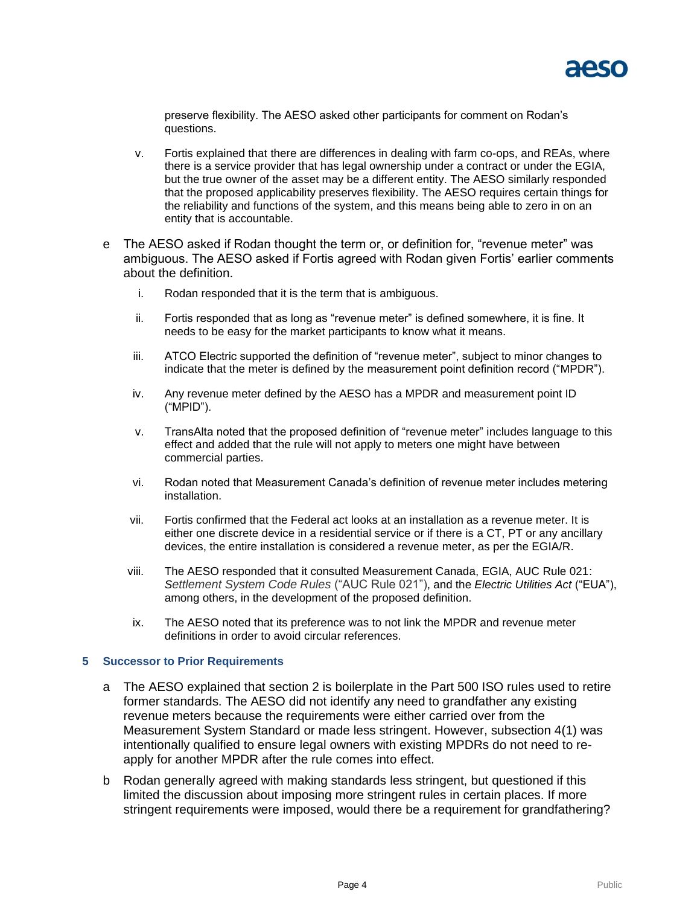

preserve flexibility. The AESO asked other participants for comment on Rodan's questions.

- v. Fortis explained that there are differences in dealing with farm co-ops, and REAs, where there is a service provider that has legal ownership under a contract or under the EGIA, but the true owner of the asset may be a different entity. The AESO similarly responded that the proposed applicability preserves flexibility. The AESO requires certain things for the reliability and functions of the system, and this means being able to zero in on an entity that is accountable.
- e The AESO asked if Rodan thought the term or, or definition for, "revenue meter" was ambiguous. The AESO asked if Fortis agreed with Rodan given Fortis' earlier comments about the definition.
	- i. Rodan responded that it is the term that is ambiguous.
	- ii. Fortis responded that as long as "revenue meter" is defined somewhere, it is fine. It needs to be easy for the market participants to know what it means.
	- iii. ATCO Electric supported the definition of "revenue meter", subject to minor changes to indicate that the meter is defined by the measurement point definition record ("MPDR").
	- iv. Any revenue meter defined by the AESO has a MPDR and measurement point ID ("MPID").
	- v. TransAlta noted that the proposed definition of "revenue meter" includes language to this effect and added that the rule will not apply to meters one might have between commercial parties.
	- vi. Rodan noted that Measurement Canada's definition of revenue meter includes metering installation.
	- vii. Fortis confirmed that the Federal act looks at an installation as a revenue meter. It is either one discrete device in a residential service or if there is a CT, PT or any ancillary devices, the entire installation is considered a revenue meter, as per the EGIA/R.
	- viii. The AESO responded that it consulted Measurement Canada, EGIA, AUC Rule 021: *Settlement System Code Rules* ("AUC Rule 021"), and the *Electric Utilities Act* ("EUA"), among others, in the development of the proposed definition.
	- ix. The AESO noted that its preference was to not link the MPDR and revenue meter definitions in order to avoid circular references.

#### **5 Successor to Prior Requirements**

- a The AESO explained that section 2 is boilerplate in the Part 500 ISO rules used to retire former standards. The AESO did not identify any need to grandfather any existing revenue meters because the requirements were either carried over from the Measurement System Standard or made less stringent. However, subsection 4(1) was intentionally qualified to ensure legal owners with existing MPDRs do not need to reapply for another MPDR after the rule comes into effect.
- b Rodan generally agreed with making standards less stringent, but questioned if this limited the discussion about imposing more stringent rules in certain places. If more stringent requirements were imposed, would there be a requirement for grandfathering?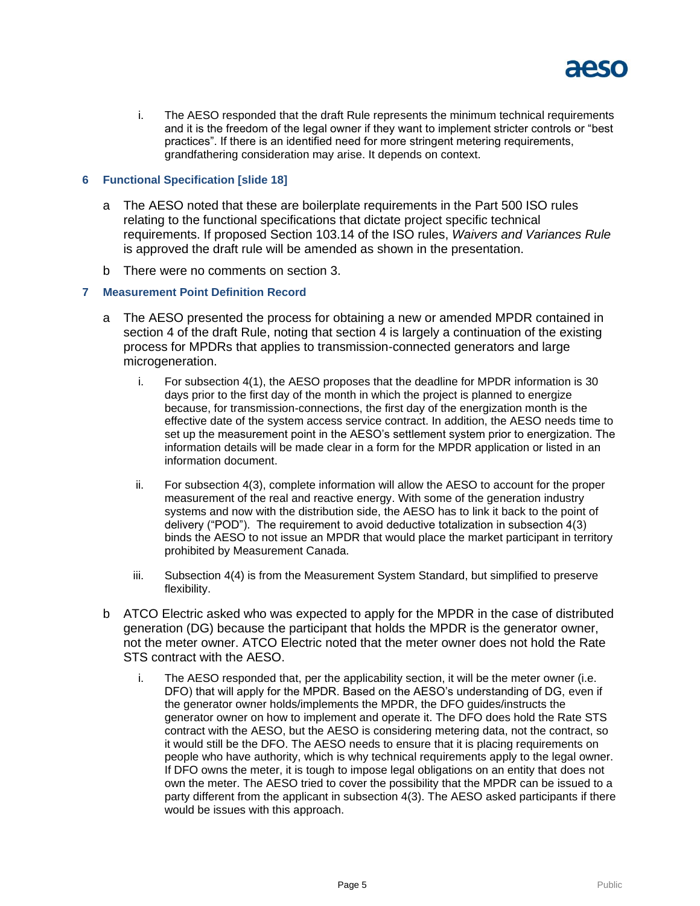

i. The AESO responded that the draft Rule represents the minimum technical requirements and it is the freedom of the legal owner if they want to implement stricter controls or "best practices". If there is an identified need for more stringent metering requirements, grandfathering consideration may arise. It depends on context.

### **6 Functional Specification [slide 18]**

- a The AESO noted that these are boilerplate requirements in the Part 500 ISO rules relating to the functional specifications that dictate project specific technical requirements. If proposed Section 103.14 of the ISO rules, *Waivers and Variances Rule* is approved the draft rule will be amended as shown in the presentation.
- b There were no comments on section 3.

## **7 Measurement Point Definition Record**

- a The AESO presented the process for obtaining a new or amended MPDR contained in section 4 of the draft Rule, noting that section 4 is largely a continuation of the existing process for MPDRs that applies to transmission-connected generators and large microgeneration.
	- i. For subsection 4(1), the AESO proposes that the deadline for MPDR information is 30 days prior to the first day of the month in which the project is planned to energize because, for transmission-connections, the first day of the energization month is the effective date of the system access service contract. In addition, the AESO needs time to set up the measurement point in the AESO's settlement system prior to energization. The information details will be made clear in a form for the MPDR application or listed in an information document.
	- ii. For subsection 4(3), complete information will allow the AESO to account for the proper measurement of the real and reactive energy. With some of the generation industry systems and now with the distribution side, the AESO has to link it back to the point of delivery ("POD"). The requirement to avoid deductive totalization in subsection 4(3) binds the AESO to not issue an MPDR that would place the market participant in territory prohibited by Measurement Canada.
	- iii. Subsection 4(4) is from the Measurement System Standard, but simplified to preserve flexibility.
- b ATCO Electric asked who was expected to apply for the MPDR in the case of distributed generation (DG) because the participant that holds the MPDR is the generator owner, not the meter owner. ATCO Electric noted that the meter owner does not hold the Rate STS contract with the AESO.
	- i. The AESO responded that, per the applicability section, it will be the meter owner (i.e. DFO) that will apply for the MPDR. Based on the AESO's understanding of DG, even if the generator owner holds/implements the MPDR, the DFO guides/instructs the generator owner on how to implement and operate it. The DFO does hold the Rate STS contract with the AESO, but the AESO is considering metering data, not the contract, so it would still be the DFO. The AESO needs to ensure that it is placing requirements on people who have authority, which is why technical requirements apply to the legal owner. If DFO owns the meter, it is tough to impose legal obligations on an entity that does not own the meter. The AESO tried to cover the possibility that the MPDR can be issued to a party different from the applicant in subsection 4(3). The AESO asked participants if there would be issues with this approach.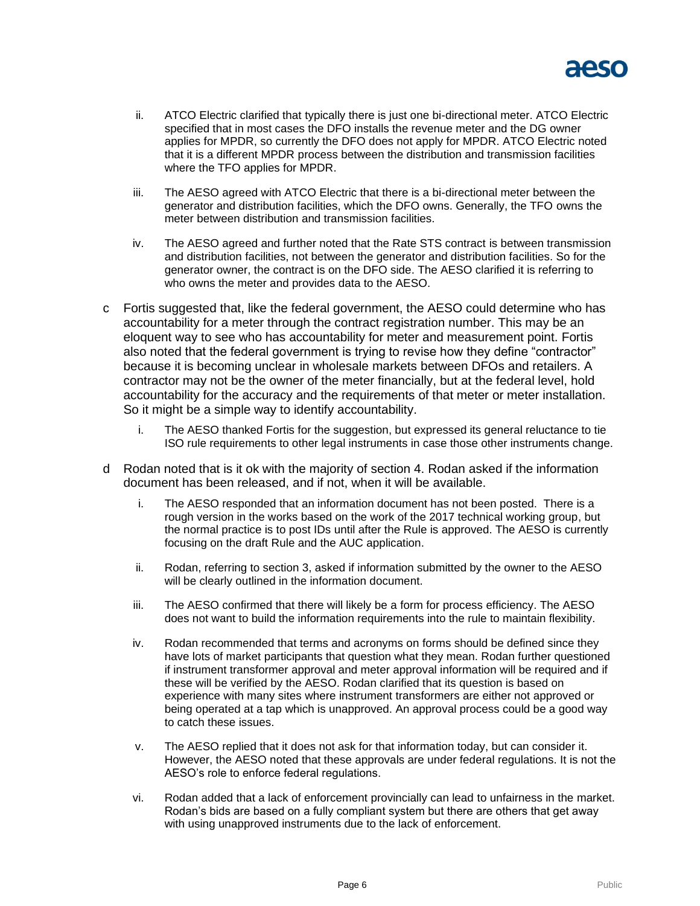

- ii. ATCO Electric clarified that typically there is just one bi-directional meter. ATCO Electric specified that in most cases the DFO installs the revenue meter and the DG owner applies for MPDR, so currently the DFO does not apply for MPDR. ATCO Electric noted that it is a different MPDR process between the distribution and transmission facilities where the TFO applies for MPDR.
- iii. The AESO agreed with ATCO Electric that there is a bi-directional meter between the generator and distribution facilities, which the DFO owns. Generally, the TFO owns the meter between distribution and transmission facilities.
- iv. The AESO agreed and further noted that the Rate STS contract is between transmission and distribution facilities, not between the generator and distribution facilities. So for the generator owner, the contract is on the DFO side. The AESO clarified it is referring to who owns the meter and provides data to the AESO.
- c Fortis suggested that, like the federal government, the AESO could determine who has accountability for a meter through the contract registration number. This may be an eloquent way to see who has accountability for meter and measurement point. Fortis also noted that the federal government is trying to revise how they define "contractor" because it is becoming unclear in wholesale markets between DFOs and retailers. A contractor may not be the owner of the meter financially, but at the federal level, hold accountability for the accuracy and the requirements of that meter or meter installation. So it might be a simple way to identify accountability.
	- i. The AESO thanked Fortis for the suggestion, but expressed its general reluctance to tie ISO rule requirements to other legal instruments in case those other instruments change.
- d Rodan noted that is it ok with the majority of section 4. Rodan asked if the information document has been released, and if not, when it will be available.
	- i. The AESO responded that an information document has not been posted. There is a rough version in the works based on the work of the 2017 technical working group, but the normal practice is to post IDs until after the Rule is approved. The AESO is currently focusing on the draft Rule and the AUC application.
	- ii. Rodan, referring to section 3, asked if information submitted by the owner to the AESO will be clearly outlined in the information document.
	- iii. The AESO confirmed that there will likely be a form for process efficiency. The AESO does not want to build the information requirements into the rule to maintain flexibility.
	- iv. Rodan recommended that terms and acronyms on forms should be defined since they have lots of market participants that question what they mean. Rodan further questioned if instrument transformer approval and meter approval information will be required and if these will be verified by the AESO. Rodan clarified that its question is based on experience with many sites where instrument transformers are either not approved or being operated at a tap which is unapproved. An approval process could be a good way to catch these issues.
	- v. The AESO replied that it does not ask for that information today, but can consider it. However, the AESO noted that these approvals are under federal regulations. It is not the AESO's role to enforce federal regulations.
	- vi. Rodan added that a lack of enforcement provincially can lead to unfairness in the market. Rodan's bids are based on a fully compliant system but there are others that get away with using unapproved instruments due to the lack of enforcement.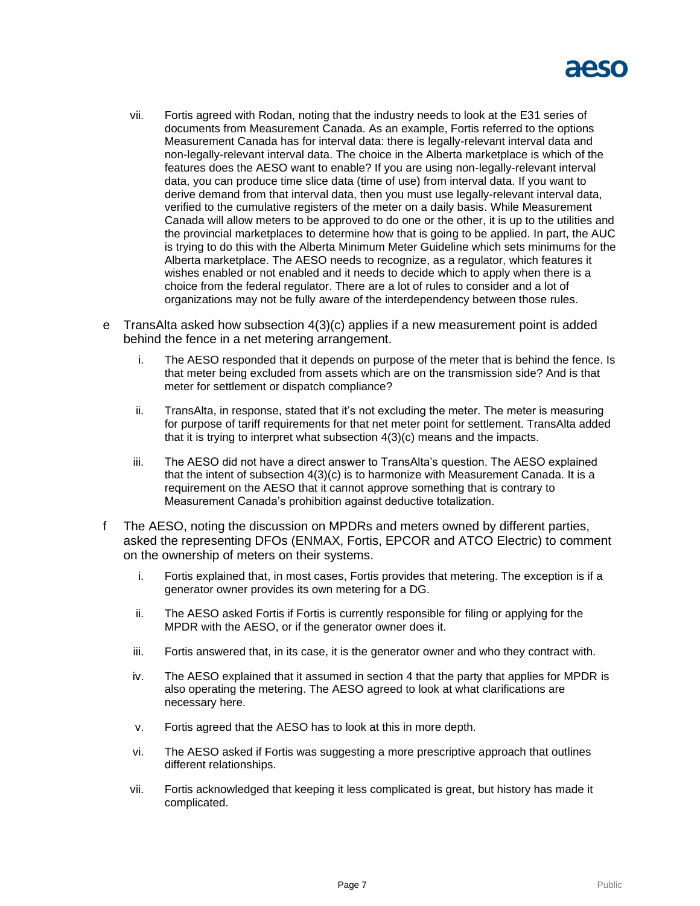

- vii. Fortis agreed with Rodan, noting that the industry needs to look at the E31 series of documents from Measurement Canada. As an example, Fortis referred to the options Measurement Canada has for interval data: there is legally-relevant interval data and non-legally-relevant interval data. The choice in the Alberta marketplace is which of the features does the AESO want to enable? If you are using non-legally-relevant interval data, you can produce time slice data (time of use) from interval data. If you want to derive demand from that interval data, then you must use legally-relevant interval data, verified to the cumulative registers of the meter on a daily basis. While Measurement Canada will allow meters to be approved to do one or the other, it is up to the utilities and the provincial marketplaces to determine how that is going to be applied. In part, the AUC is trying to do this with the Alberta Minimum Meter Guideline which sets minimums for the Alberta marketplace. The AESO needs to recognize, as a regulator, which features it wishes enabled or not enabled and it needs to decide which to apply when there is a choice from the federal regulator. There are a lot of rules to consider and a lot of organizations may not be fully aware of the interdependency between those rules.
- e TransAlta asked how subsection 4(3)(c) applies if a new measurement point is added behind the fence in a net metering arrangement.
	- i. The AESO responded that it depends on purpose of the meter that is behind the fence. Is that meter being excluded from assets which are on the transmission side? And is that meter for settlement or dispatch compliance?
	- ii. TransAlta, in response, stated that it's not excluding the meter. The meter is measuring for purpose of tariff requirements for that net meter point for settlement. TransAlta added that it is trying to interpret what subsection 4(3)(c) means and the impacts.
	- iii. The AESO did not have a direct answer to TransAlta's question. The AESO explained that the intent of subsection 4(3)(c) is to harmonize with Measurement Canada. It is a requirement on the AESO that it cannot approve something that is contrary to Measurement Canada's prohibition against deductive totalization.
- f The AESO, noting the discussion on MPDRs and meters owned by different parties, asked the representing DFOs (ENMAX, Fortis, EPCOR and ATCO Electric) to comment on the ownership of meters on their systems.
	- i. Fortis explained that, in most cases, Fortis provides that metering. The exception is if a generator owner provides its own metering for a DG.
	- ii. The AESO asked Fortis if Fortis is currently responsible for filing or applying for the MPDR with the AESO, or if the generator owner does it.
	- iii. Fortis answered that, in its case, it is the generator owner and who they contract with.
	- iv. The AESO explained that it assumed in section 4 that the party that applies for MPDR is also operating the metering. The AESO agreed to look at what clarifications are necessary here.
	- v. Fortis agreed that the AESO has to look at this in more depth.
	- vi. The AESO asked if Fortis was suggesting a more prescriptive approach that outlines different relationships.
	- vii. Fortis acknowledged that keeping it less complicated is great, but history has made it complicated.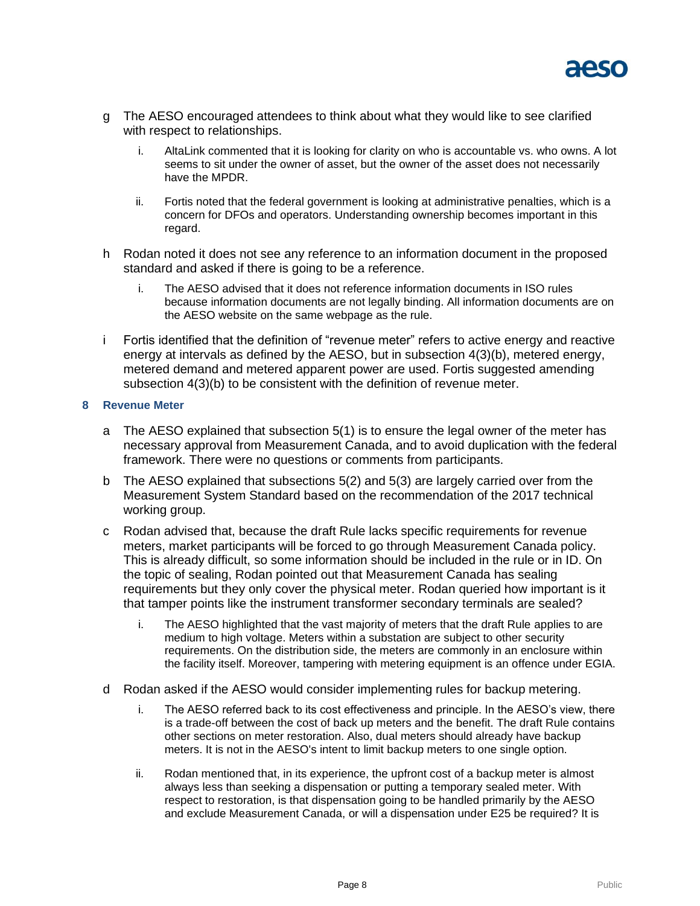

- g The AESO encouraged attendees to think about what they would like to see clarified with respect to relationships.
	- i. AltaLink commented that it is looking for clarity on who is accountable vs. who owns. A lot seems to sit under the owner of asset, but the owner of the asset does not necessarily have the MPDR.
	- ii. Fortis noted that the federal government is looking at administrative penalties, which is a concern for DFOs and operators. Understanding ownership becomes important in this regard.
- h Rodan noted it does not see any reference to an information document in the proposed standard and asked if there is going to be a reference.
	- i. The AESO advised that it does not reference information documents in ISO rules because information documents are not legally binding. All information documents are on the AESO website on the same webpage as the rule.
- i Fortis identified that the definition of "revenue meter" refers to active energy and reactive energy at intervals as defined by the AESO, but in subsection 4(3)(b), metered energy, metered demand and metered apparent power are used. Fortis suggested amending subsection 4(3)(b) to be consistent with the definition of revenue meter.

### **8 Revenue Meter**

- a The AESO explained that subsection 5(1) is to ensure the legal owner of the meter has necessary approval from Measurement Canada, and to avoid duplication with the federal framework. There were no questions or comments from participants.
- b The AESO explained that subsections 5(2) and 5(3) are largely carried over from the Measurement System Standard based on the recommendation of the 2017 technical working group.
- c Rodan advised that, because the draft Rule lacks specific requirements for revenue meters, market participants will be forced to go through Measurement Canada policy. This is already difficult, so some information should be included in the rule or in ID. On the topic of sealing, Rodan pointed out that Measurement Canada has sealing requirements but they only cover the physical meter. Rodan queried how important is it that tamper points like the instrument transformer secondary terminals are sealed?
	- i. The AESO highlighted that the vast majority of meters that the draft Rule applies to are medium to high voltage. Meters within a substation are subject to other security requirements. On the distribution side, the meters are commonly in an enclosure within the facility itself. Moreover, tampering with metering equipment is an offence under EGIA.
- d Rodan asked if the AESO would consider implementing rules for backup metering.
	- i. The AESO referred back to its cost effectiveness and principle. In the AESO's view, there is a trade-off between the cost of back up meters and the benefit. The draft Rule contains other sections on meter restoration. Also, dual meters should already have backup meters. It is not in the AESO's intent to limit backup meters to one single option.
	- ii. Rodan mentioned that, in its experience, the upfront cost of a backup meter is almost always less than seeking a dispensation or putting a temporary sealed meter. With respect to restoration, is that dispensation going to be handled primarily by the AESO and exclude Measurement Canada, or will a dispensation under E25 be required? It is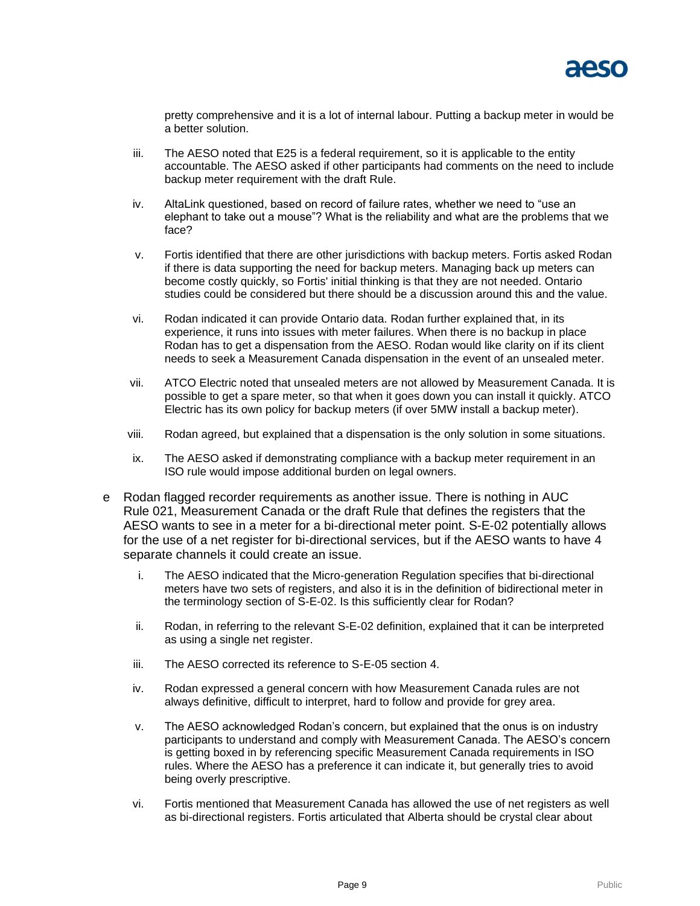pretty comprehensive and it is a lot of internal labour. Putting a backup meter in would be a better solution.

- iii. The AESO noted that E25 is a federal requirement, so it is applicable to the entity accountable. The AESO asked if other participants had comments on the need to include backup meter requirement with the draft Rule.
- iv. AltaLink questioned, based on record of failure rates, whether we need to "use an elephant to take out a mouse"? What is the reliability and what are the problems that we face?
- v. Fortis identified that there are other jurisdictions with backup meters. Fortis asked Rodan if there is data supporting the need for backup meters. Managing back up meters can become costly quickly, so Fortis' initial thinking is that they are not needed. Ontario studies could be considered but there should be a discussion around this and the value.
- vi. Rodan indicated it can provide Ontario data. Rodan further explained that, in its experience, it runs into issues with meter failures. When there is no backup in place Rodan has to get a dispensation from the AESO. Rodan would like clarity on if its client needs to seek a Measurement Canada dispensation in the event of an unsealed meter.
- vii. ATCO Electric noted that unsealed meters are not allowed by Measurement Canada. It is possible to get a spare meter, so that when it goes down you can install it quickly. ATCO Electric has its own policy for backup meters (if over 5MW install a backup meter).
- viii. Rodan agreed, but explained that a dispensation is the only solution in some situations.
- ix. The AESO asked if demonstrating compliance with a backup meter requirement in an ISO rule would impose additional burden on legal owners.
- e Rodan flagged recorder requirements as another issue. There is nothing in AUC Rule 021, Measurement Canada or the draft Rule that defines the registers that the AESO wants to see in a meter for a bi-directional meter point. S-E-02 potentially allows for the use of a net register for bi-directional services, but if the AESO wants to have 4 separate channels it could create an issue.
	- i. The AESO indicated that the Micro-generation Regulation specifies that bi-directional meters have two sets of registers, and also it is in the definition of bidirectional meter in the terminology section of S-E-02. Is this sufficiently clear for Rodan?
	- ii. Rodan, in referring to the relevant S-E-02 definition, explained that it can be interpreted as using a single net register.
	- iii. The AESO corrected its reference to S-E-05 section 4.
	- iv. Rodan expressed a general concern with how Measurement Canada rules are not always definitive, difficult to interpret, hard to follow and provide for grey area.
	- v. The AESO acknowledged Rodan's concern, but explained that the onus is on industry participants to understand and comply with Measurement Canada. The AESO's concern is getting boxed in by referencing specific Measurement Canada requirements in ISO rules. Where the AESO has a preference it can indicate it, but generally tries to avoid being overly prescriptive.
	- vi. Fortis mentioned that Measurement Canada has allowed the use of net registers as well as bi-directional registers. Fortis articulated that Alberta should be crystal clear about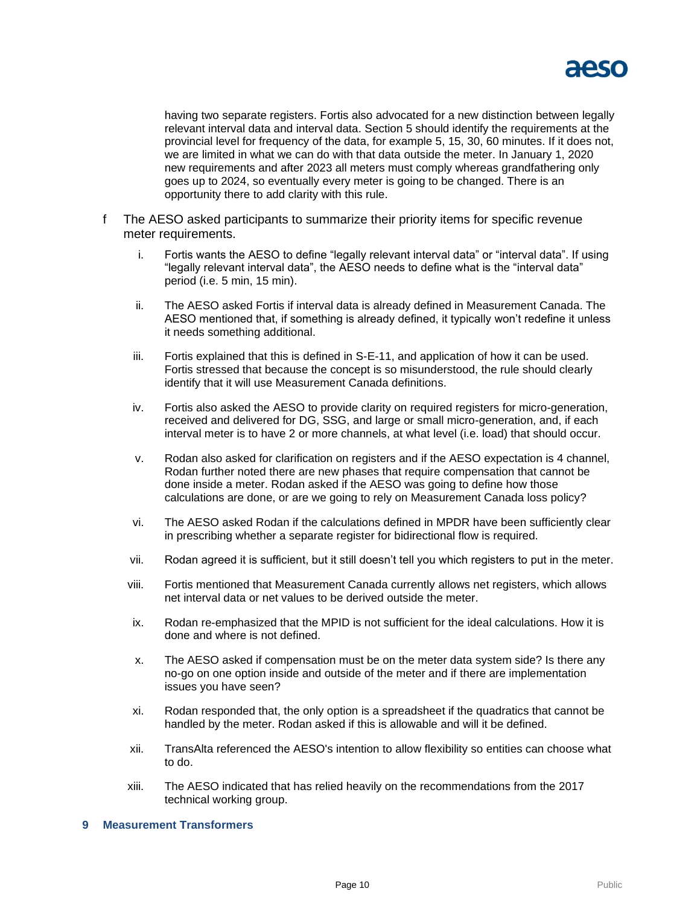

having two separate registers. Fortis also advocated for a new distinction between legally relevant interval data and interval data. Section 5 should identify the requirements at the provincial level for frequency of the data, for example 5, 15, 30, 60 minutes. If it does not, we are limited in what we can do with that data outside the meter. In January 1, 2020 new requirements and after 2023 all meters must comply whereas grandfathering only goes up to 2024, so eventually every meter is going to be changed. There is an opportunity there to add clarity with this rule.

- f The AESO asked participants to summarize their priority items for specific revenue meter requirements.
	- i. Fortis wants the AESO to define "legally relevant interval data" or "interval data". If using "legally relevant interval data", the AESO needs to define what is the "interval data" period (i.e. 5 min, 15 min).
	- ii. The AESO asked Fortis if interval data is already defined in Measurement Canada. The AESO mentioned that, if something is already defined, it typically won't redefine it unless it needs something additional.
	- iii. Fortis explained that this is defined in S-E-11, and application of how it can be used. Fortis stressed that because the concept is so misunderstood, the rule should clearly identify that it will use Measurement Canada definitions.
	- iv. Fortis also asked the AESO to provide clarity on required registers for micro-generation, received and delivered for DG, SSG, and large or small micro-generation, and, if each interval meter is to have 2 or more channels, at what level (i.e. load) that should occur.
	- v. Rodan also asked for clarification on registers and if the AESO expectation is 4 channel, Rodan further noted there are new phases that require compensation that cannot be done inside a meter. Rodan asked if the AESO was going to define how those calculations are done, or are we going to rely on Measurement Canada loss policy?
	- vi. The AESO asked Rodan if the calculations defined in MPDR have been sufficiently clear in prescribing whether a separate register for bidirectional flow is required.
	- vii. Rodan agreed it is sufficient, but it still doesn't tell you which registers to put in the meter.
	- viii. Fortis mentioned that Measurement Canada currently allows net registers, which allows net interval data or net values to be derived outside the meter.
	- ix. Rodan re-emphasized that the MPID is not sufficient for the ideal calculations. How it is done and where is not defined.
	- x. The AESO asked if compensation must be on the meter data system side? Is there any no-go on one option inside and outside of the meter and if there are implementation issues you have seen?
	- xi. Rodan responded that, the only option is a spreadsheet if the quadratics that cannot be handled by the meter. Rodan asked if this is allowable and will it be defined.
	- xii. TransAlta referenced the AESO's intention to allow flexibility so entities can choose what to do.
	- xiii. The AESO indicated that has relied heavily on the recommendations from the 2017 technical working group.

### **9 Measurement Transformers**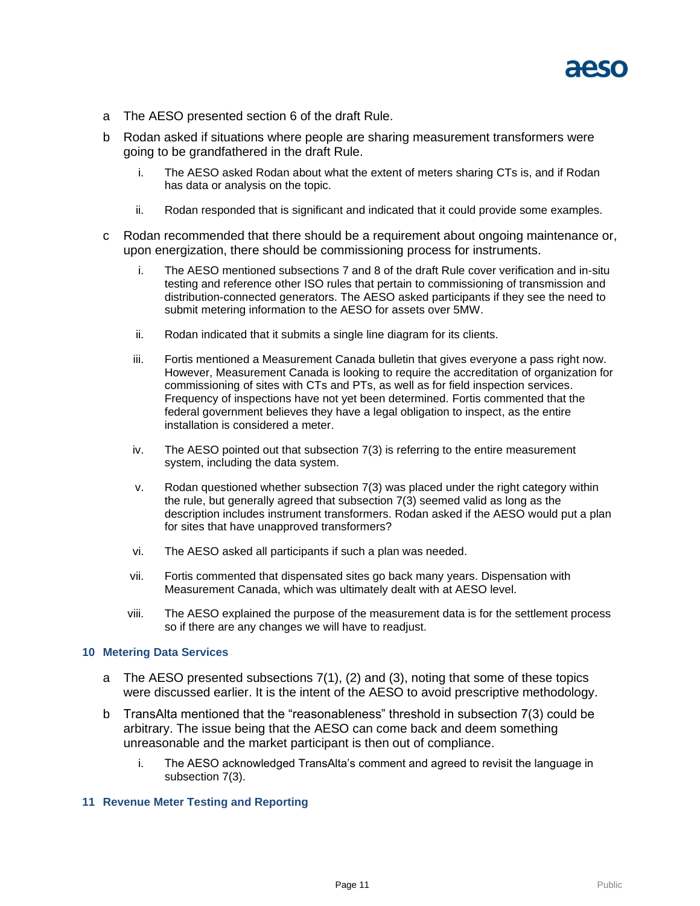

- a The AESO presented section 6 of the draft Rule.
- b Rodan asked if situations where people are sharing measurement transformers were going to be grandfathered in the draft Rule.
	- i. The AESO asked Rodan about what the extent of meters sharing CTs is, and if Rodan has data or analysis on the topic.
	- ii. Rodan responded that is significant and indicated that it could provide some examples.
- c Rodan recommended that there should be a requirement about ongoing maintenance or, upon energization, there should be commissioning process for instruments.
	- i. The AESO mentioned subsections 7 and 8 of the draft Rule cover verification and in-situ testing and reference other ISO rules that pertain to commissioning of transmission and distribution-connected generators. The AESO asked participants if they see the need to submit metering information to the AESO for assets over 5MW.
	- ii. Rodan indicated that it submits a single line diagram for its clients.
	- iii. Fortis mentioned a Measurement Canada bulletin that gives everyone a pass right now. However, Measurement Canada is looking to require the accreditation of organization for commissioning of sites with CTs and PTs, as well as for field inspection services. Frequency of inspections have not yet been determined. Fortis commented that the federal government believes they have a legal obligation to inspect, as the entire installation is considered a meter.
	- iv. The AESO pointed out that subsection 7(3) is referring to the entire measurement system, including the data system.
	- v. Rodan questioned whether subsection 7(3) was placed under the right category within the rule, but generally agreed that subsection 7(3) seemed valid as long as the description includes instrument transformers. Rodan asked if the AESO would put a plan for sites that have unapproved transformers?
	- vi. The AESO asked all participants if such a plan was needed.
	- vii. Fortis commented that dispensated sites go back many years. Dispensation with Measurement Canada, which was ultimately dealt with at AESO level.
	- viii. The AESO explained the purpose of the measurement data is for the settlement process so if there are any changes we will have to readjust.

### **10 Metering Data Services**

- a The AESO presented subsections  $7(1)$ ,  $(2)$  and  $(3)$ , noting that some of these topics were discussed earlier. It is the intent of the AESO to avoid prescriptive methodology.
- b TransAlta mentioned that the "reasonableness" threshold in subsection 7(3) could be arbitrary. The issue being that the AESO can come back and deem something unreasonable and the market participant is then out of compliance.
	- i. The AESO acknowledged TransAlta's comment and agreed to revisit the language in subsection 7(3).

### **11 Revenue Meter Testing and Reporting**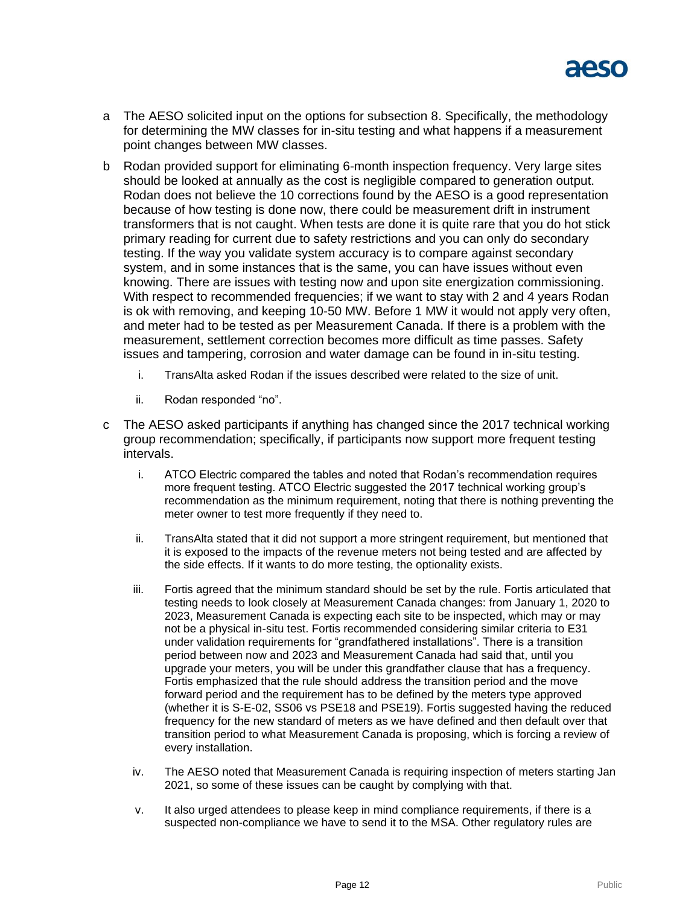

- a The AESO solicited input on the options for subsection 8. Specifically, the methodology for determining the MW classes for in-situ testing and what happens if a measurement point changes between MW classes.
- b Rodan provided support for eliminating 6-month inspection frequency. Very large sites should be looked at annually as the cost is negligible compared to generation output. Rodan does not believe the 10 corrections found by the AESO is a good representation because of how testing is done now, there could be measurement drift in instrument transformers that is not caught. When tests are done it is quite rare that you do hot stick primary reading for current due to safety restrictions and you can only do secondary testing. If the way you validate system accuracy is to compare against secondary system, and in some instances that is the same, you can have issues without even knowing. There are issues with testing now and upon site energization commissioning. With respect to recommended frequencies; if we want to stay with 2 and 4 years Rodan is ok with removing, and keeping 10-50 MW. Before 1 MW it would not apply very often, and meter had to be tested as per Measurement Canada. If there is a problem with the measurement, settlement correction becomes more difficult as time passes. Safety issues and tampering, corrosion and water damage can be found in in-situ testing.
	- i. TransAlta asked Rodan if the issues described were related to the size of unit.
	- ii. Rodan responded "no".
- c The AESO asked participants if anything has changed since the 2017 technical working group recommendation; specifically, if participants now support more frequent testing intervals.
	- i. ATCO Electric compared the tables and noted that Rodan's recommendation requires more frequent testing. ATCO Electric suggested the 2017 technical working group's recommendation as the minimum requirement, noting that there is nothing preventing the meter owner to test more frequently if they need to.
	- ii. TransAlta stated that it did not support a more stringent requirement, but mentioned that it is exposed to the impacts of the revenue meters not being tested and are affected by the side effects. If it wants to do more testing, the optionality exists.
	- iii. Fortis agreed that the minimum standard should be set by the rule. Fortis articulated that testing needs to look closely at Measurement Canada changes: from January 1, 2020 to 2023, Measurement Canada is expecting each site to be inspected, which may or may not be a physical in-situ test. Fortis recommended considering similar criteria to E31 under validation requirements for "grandfathered installations". There is a transition period between now and 2023 and Measurement Canada had said that, until you upgrade your meters, you will be under this grandfather clause that has a frequency. Fortis emphasized that the rule should address the transition period and the move forward period and the requirement has to be defined by the meters type approved (whether it is S-E-02, SS06 vs PSE18 and PSE19). Fortis suggested having the reduced frequency for the new standard of meters as we have defined and then default over that transition period to what Measurement Canada is proposing, which is forcing a review of every installation.
	- iv. The AESO noted that Measurement Canada is requiring inspection of meters starting Jan 2021, so some of these issues can be caught by complying with that.
	- v. It also urged attendees to please keep in mind compliance requirements, if there is a suspected non-compliance we have to send it to the MSA. Other regulatory rules are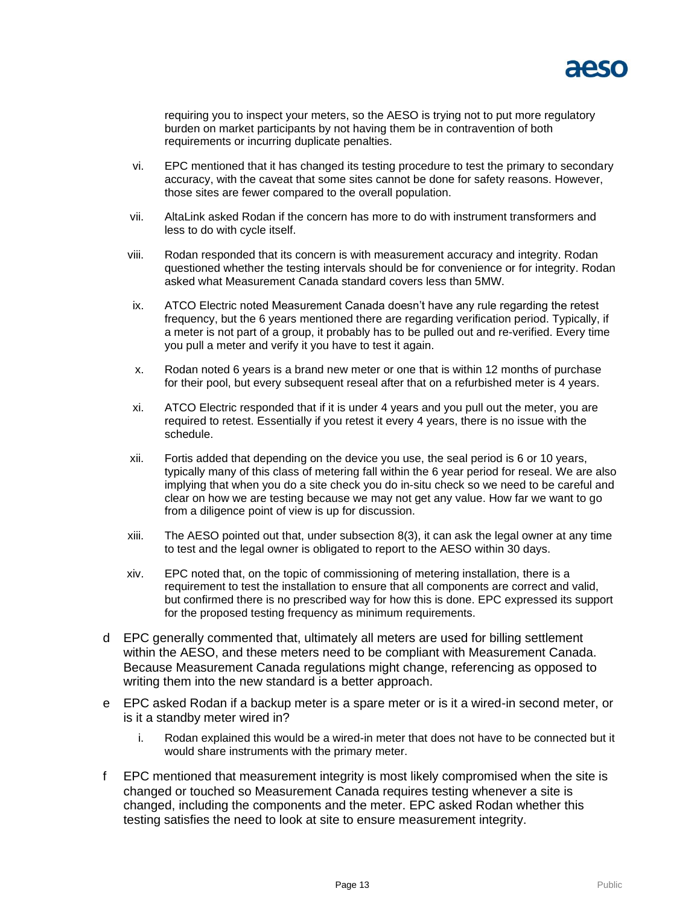

requiring you to inspect your meters, so the AESO is trying not to put more regulatory burden on market participants by not having them be in contravention of both requirements or incurring duplicate penalties.

- vi. EPC mentioned that it has changed its testing procedure to test the primary to secondary accuracy, with the caveat that some sites cannot be done for safety reasons. However, those sites are fewer compared to the overall population.
- vii. AltaLink asked Rodan if the concern has more to do with instrument transformers and less to do with cycle itself.
- viii. Rodan responded that its concern is with measurement accuracy and integrity. Rodan questioned whether the testing intervals should be for convenience or for integrity. Rodan asked what Measurement Canada standard covers less than 5MW.
- ix. ATCO Electric noted Measurement Canada doesn't have any rule regarding the retest frequency, but the 6 years mentioned there are regarding verification period. Typically, if a meter is not part of a group, it probably has to be pulled out and re-verified. Every time you pull a meter and verify it you have to test it again.
- x. Rodan noted 6 years is a brand new meter or one that is within 12 months of purchase for their pool, but every subsequent reseal after that on a refurbished meter is 4 years.
- xi. ATCO Electric responded that if it is under 4 years and you pull out the meter, you are required to retest. Essentially if you retest it every 4 years, there is no issue with the schedule.
- xii. Fortis added that depending on the device you use, the seal period is 6 or 10 years, typically many of this class of metering fall within the 6 year period for reseal. We are also implying that when you do a site check you do in-situ check so we need to be careful and clear on how we are testing because we may not get any value. How far we want to go from a diligence point of view is up for discussion.
- xiii. The AESO pointed out that, under subsection 8(3), it can ask the legal owner at any time to test and the legal owner is obligated to report to the AESO within 30 days.
- xiv. EPC noted that, on the topic of commissioning of metering installation, there is a requirement to test the installation to ensure that all components are correct and valid, but confirmed there is no prescribed way for how this is done. EPC expressed its support for the proposed testing frequency as minimum requirements.
- d EPC generally commented that, ultimately all meters are used for billing settlement within the AESO, and these meters need to be compliant with Measurement Canada. Because Measurement Canada regulations might change, referencing as opposed to writing them into the new standard is a better approach.
- e EPC asked Rodan if a backup meter is a spare meter or is it a wired-in second meter, or is it a standby meter wired in?
	- i. Rodan explained this would be a wired-in meter that does not have to be connected but it would share instruments with the primary meter.
- f EPC mentioned that measurement integrity is most likely compromised when the site is changed or touched so Measurement Canada requires testing whenever a site is changed, including the components and the meter. EPC asked Rodan whether this testing satisfies the need to look at site to ensure measurement integrity.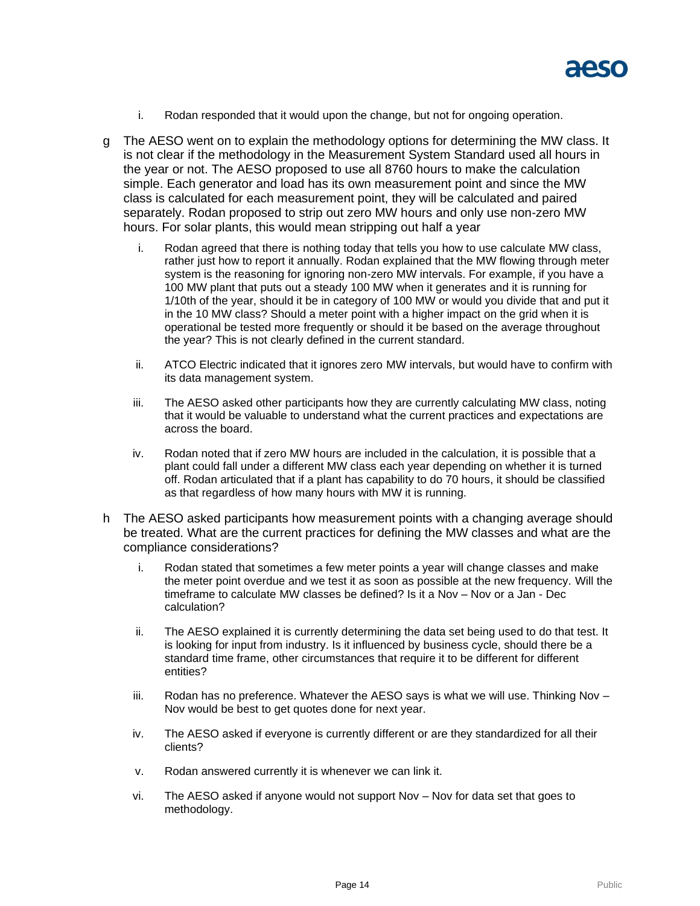

- i. Rodan responded that it would upon the change, but not for ongoing operation.
- g The AESO went on to explain the methodology options for determining the MW class. It is not clear if the methodology in the Measurement System Standard used all hours in the year or not. The AESO proposed to use all 8760 hours to make the calculation simple. Each generator and load has its own measurement point and since the MW class is calculated for each measurement point, they will be calculated and paired separately. Rodan proposed to strip out zero MW hours and only use non-zero MW hours. For solar plants, this would mean stripping out half a year
	- i. Rodan agreed that there is nothing today that tells you how to use calculate MW class, rather just how to report it annually. Rodan explained that the MW flowing through meter system is the reasoning for ignoring non-zero MW intervals. For example, if you have a 100 MW plant that puts out a steady 100 MW when it generates and it is running for 1/10th of the year, should it be in category of 100 MW or would you divide that and put it in the 10 MW class? Should a meter point with a higher impact on the grid when it is operational be tested more frequently or should it be based on the average throughout the year? This is not clearly defined in the current standard.
	- ii. ATCO Electric indicated that it ignores zero MW intervals, but would have to confirm with its data management system.
	- iii. The AESO asked other participants how they are currently calculating MW class, noting that it would be valuable to understand what the current practices and expectations are across the board.
	- iv. Rodan noted that if zero MW hours are included in the calculation, it is possible that a plant could fall under a different MW class each year depending on whether it is turned off. Rodan articulated that if a plant has capability to do 70 hours, it should be classified as that regardless of how many hours with MW it is running.
- h The AESO asked participants how measurement points with a changing average should be treated. What are the current practices for defining the MW classes and what are the compliance considerations?
	- i. Rodan stated that sometimes a few meter points a year will change classes and make the meter point overdue and we test it as soon as possible at the new frequency. Will the timeframe to calculate MW classes be defined? Is it a Nov – Nov or a Jan - Dec calculation?
	- ii. The AESO explained it is currently determining the data set being used to do that test. It is looking for input from industry. Is it influenced by business cycle, should there be a standard time frame, other circumstances that require it to be different for different entities?
	- $i$  Rodan has no preference. Whatever the AESO says is what we will use. Thinking Nov  $-$ Nov would be best to get quotes done for next year.
	- iv. The AESO asked if everyone is currently different or are they standardized for all their clients?
	- v. Rodan answered currently it is whenever we can link it.
	- vi. The AESO asked if anyone would not support Nov Nov for data set that goes to methodology.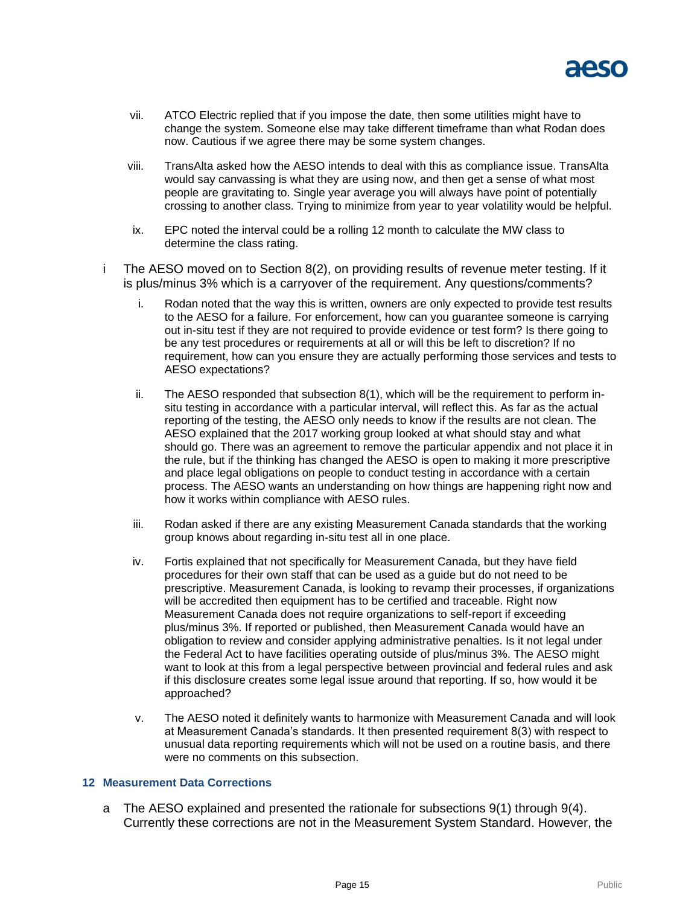

- vii. ATCO Electric replied that if you impose the date, then some utilities might have to change the system. Someone else may take different timeframe than what Rodan does now. Cautious if we agree there may be some system changes.
- viii. TransAlta asked how the AESO intends to deal with this as compliance issue. TransAlta would say canvassing is what they are using now, and then get a sense of what most people are gravitating to. Single year average you will always have point of potentially crossing to another class. Trying to minimize from year to year volatility would be helpful.
- ix. EPC noted the interval could be a rolling 12 month to calculate the MW class to determine the class rating.
- i The AESO moved on to Section 8(2), on providing results of revenue meter testing. If it is plus/minus 3% which is a carryover of the requirement. Any questions/comments?
	- i. Rodan noted that the way this is written, owners are only expected to provide test results to the AESO for a failure. For enforcement, how can you guarantee someone is carrying out in-situ test if they are not required to provide evidence or test form? Is there going to be any test procedures or requirements at all or will this be left to discretion? If no requirement, how can you ensure they are actually performing those services and tests to AESO expectations?
	- ii. The AESO responded that subsection 8(1), which will be the requirement to perform insitu testing in accordance with a particular interval, will reflect this. As far as the actual reporting of the testing, the AESO only needs to know if the results are not clean. The AESO explained that the 2017 working group looked at what should stay and what should go. There was an agreement to remove the particular appendix and not place it in the rule, but if the thinking has changed the AESO is open to making it more prescriptive and place legal obligations on people to conduct testing in accordance with a certain process. The AESO wants an understanding on how things are happening right now and how it works within compliance with AESO rules.
	- iii. Rodan asked if there are any existing Measurement Canada standards that the working group knows about regarding in-situ test all in one place.
	- iv. Fortis explained that not specifically for Measurement Canada, but they have field procedures for their own staff that can be used as a guide but do not need to be prescriptive. Measurement Canada, is looking to revamp their processes, if organizations will be accredited then equipment has to be certified and traceable. Right now Measurement Canada does not require organizations to self-report if exceeding plus/minus 3%. If reported or published, then Measurement Canada would have an obligation to review and consider applying administrative penalties. Is it not legal under the Federal Act to have facilities operating outside of plus/minus 3%. The AESO might want to look at this from a legal perspective between provincial and federal rules and ask if this disclosure creates some legal issue around that reporting. If so, how would it be approached?
	- v. The AESO noted it definitely wants to harmonize with Measurement Canada and will look at Measurement Canada's standards. It then presented requirement 8(3) with respect to unusual data reporting requirements which will not be used on a routine basis, and there were no comments on this subsection.

### **12 Measurement Data Corrections**

a The AESO explained and presented the rationale for subsections 9(1) through 9(4). Currently these corrections are not in the Measurement System Standard. However, the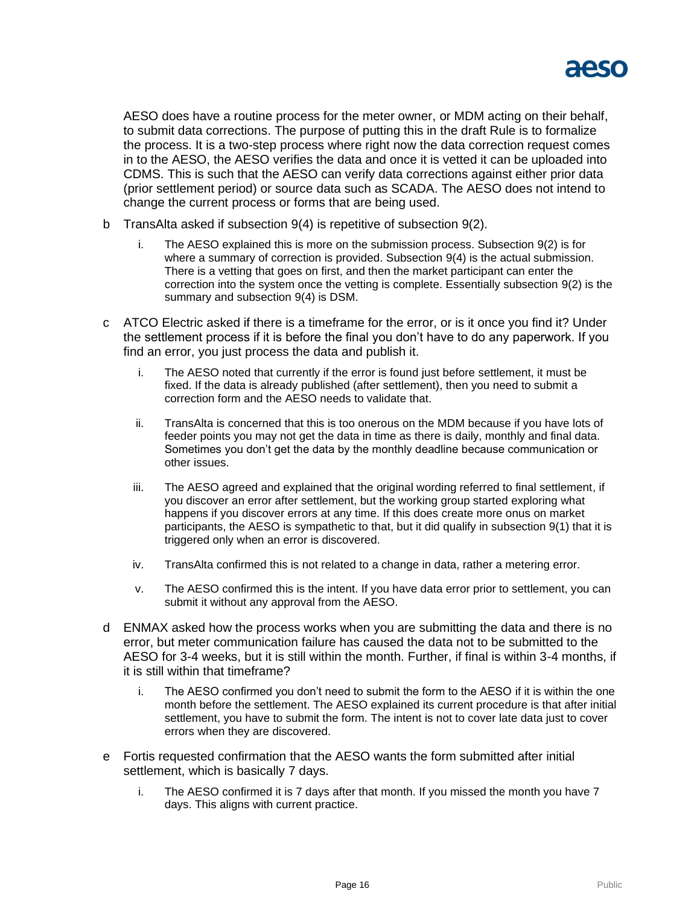

AESO does have a routine process for the meter owner, or MDM acting on their behalf, to submit data corrections. The purpose of putting this in the draft Rule is to formalize the process. It is a two-step process where right now the data correction request comes in to the AESO, the AESO verifies the data and once it is vetted it can be uploaded into CDMS. This is such that the AESO can verify data corrections against either prior data (prior settlement period) or source data such as SCADA. The AESO does not intend to change the current process or forms that are being used.

- b TransAlta asked if subsection 9(4) is repetitive of subsection 9(2).
	- i. The AESO explained this is more on the submission process. Subsection 9(2) is for where a summary of correction is provided. Subsection 9(4) is the actual submission. There is a vetting that goes on first, and then the market participant can enter the correction into the system once the vetting is complete. Essentially subsection 9(2) is the summary and subsection 9(4) is DSM.
- c ATCO Electric asked if there is a timeframe for the error, or is it once you find it? Under the settlement process if it is before the final you don't have to do any paperwork. If you find an error, you just process the data and publish it.
	- i. The AESO noted that currently if the error is found just before settlement, it must be fixed. If the data is already published (after settlement), then you need to submit a correction form and the AESO needs to validate that.
	- ii. TransAlta is concerned that this is too onerous on the MDM because if you have lots of feeder points you may not get the data in time as there is daily, monthly and final data. Sometimes you don't get the data by the monthly deadline because communication or other issues.
	- iii. The AESO agreed and explained that the original wording referred to final settlement, if you discover an error after settlement, but the working group started exploring what happens if you discover errors at any time. If this does create more onus on market participants, the AESO is sympathetic to that, but it did qualify in subsection 9(1) that it is triggered only when an error is discovered.
	- iv. TransAlta confirmed this is not related to a change in data, rather a metering error.
	- v. The AESO confirmed this is the intent. If you have data error prior to settlement, you can submit it without any approval from the AESO.
- d ENMAX asked how the process works when you are submitting the data and there is no error, but meter communication failure has caused the data not to be submitted to the AESO for 3-4 weeks, but it is still within the month. Further, if final is within 3-4 months, if it is still within that timeframe?
	- i. The AESO confirmed you don't need to submit the form to the AESO if it is within the one month before the settlement. The AESO explained its current procedure is that after initial settlement, you have to submit the form. The intent is not to cover late data just to cover errors when they are discovered.
- e Fortis requested confirmation that the AESO wants the form submitted after initial settlement, which is basically 7 days.
	- i. The AESO confirmed it is 7 days after that month. If you missed the month you have 7 days. This aligns with current practice.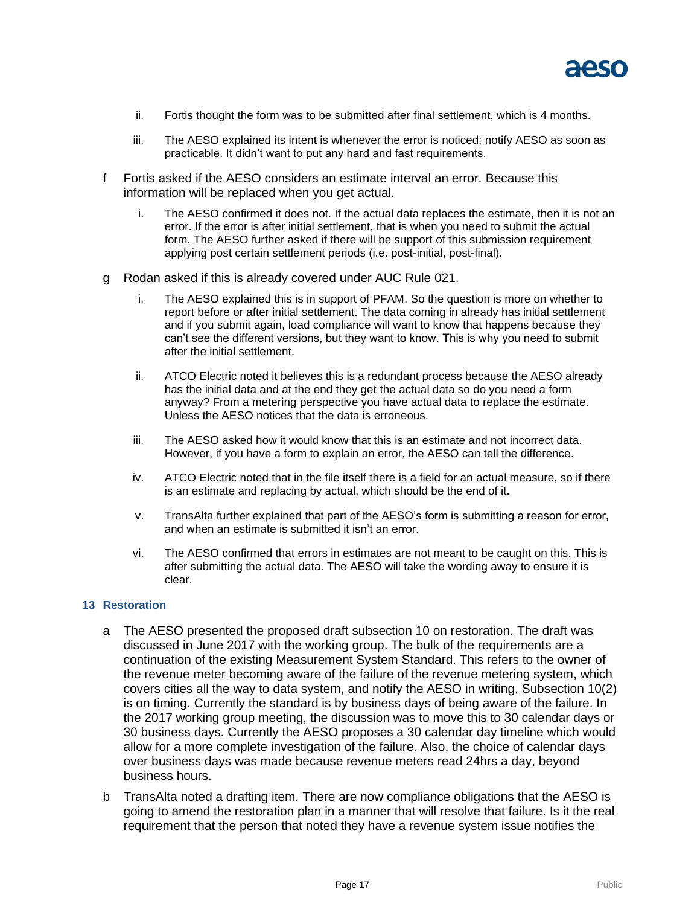

- ii. Fortis thought the form was to be submitted after final settlement, which is 4 months.
- iii. The AESO explained its intent is whenever the error is noticed; notify AESO as soon as practicable. It didn't want to put any hard and fast requirements.
- f Fortis asked if the AESO considers an estimate interval an error. Because this information will be replaced when you get actual.
	- i. The AESO confirmed it does not. If the actual data replaces the estimate, then it is not an error. If the error is after initial settlement, that is when you need to submit the actual form. The AESO further asked if there will be support of this submission requirement applying post certain settlement periods (i.e. post-initial, post-final).
- g Rodan asked if this is already covered under AUC Rule 021.
	- i. The AESO explained this is in support of PFAM. So the question is more on whether to report before or after initial settlement. The data coming in already has initial settlement and if you submit again, load compliance will want to know that happens because they can't see the different versions, but they want to know. This is why you need to submit after the initial settlement.
	- ii. ATCO Electric noted it believes this is a redundant process because the AESO already has the initial data and at the end they get the actual data so do you need a form anyway? From a metering perspective you have actual data to replace the estimate. Unless the AESO notices that the data is erroneous.
	- iii. The AESO asked how it would know that this is an estimate and not incorrect data. However, if you have a form to explain an error, the AESO can tell the difference.
	- iv. ATCO Electric noted that in the file itself there is a field for an actual measure, so if there is an estimate and replacing by actual, which should be the end of it.
	- v. TransAlta further explained that part of the AESO's form is submitting a reason for error, and when an estimate is submitted it isn't an error.
	- vi. The AESO confirmed that errors in estimates are not meant to be caught on this. This is after submitting the actual data. The AESO will take the wording away to ensure it is clear.

### **13 Restoration**

- a The AESO presented the proposed draft subsection 10 on restoration. The draft was discussed in June 2017 with the working group. The bulk of the requirements are a continuation of the existing Measurement System Standard. This refers to the owner of the revenue meter becoming aware of the failure of the revenue metering system, which covers cities all the way to data system, and notify the AESO in writing. Subsection 10(2) is on timing. Currently the standard is by business days of being aware of the failure. In the 2017 working group meeting, the discussion was to move this to 30 calendar days or 30 business days. Currently the AESO proposes a 30 calendar day timeline which would allow for a more complete investigation of the failure. Also, the choice of calendar days over business days was made because revenue meters read 24hrs a day, beyond business hours.
- b TransAlta noted a drafting item. There are now compliance obligations that the AESO is going to amend the restoration plan in a manner that will resolve that failure. Is it the real requirement that the person that noted they have a revenue system issue notifies the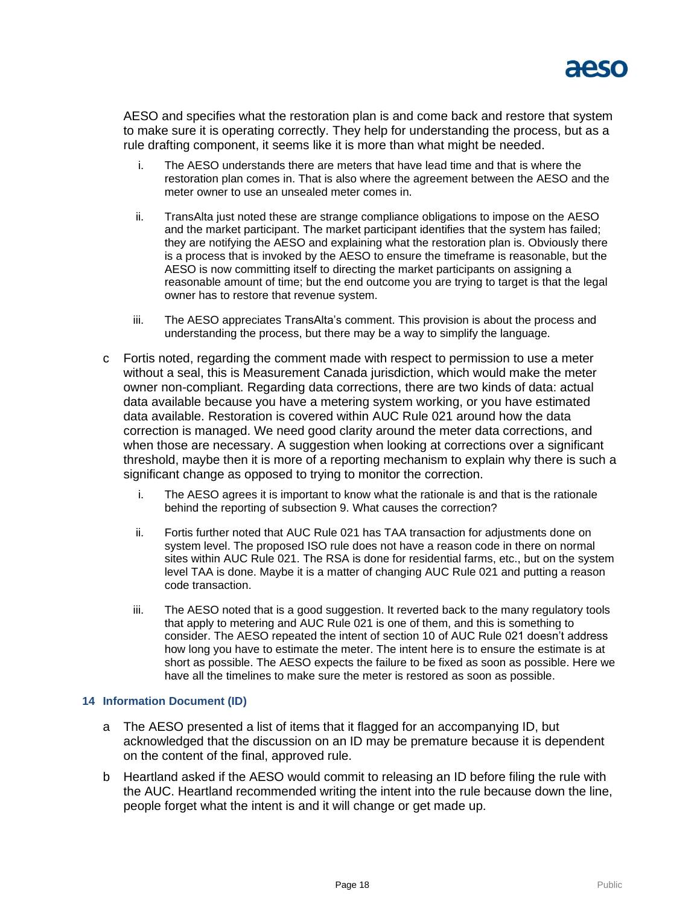

AESO and specifies what the restoration plan is and come back and restore that system to make sure it is operating correctly. They help for understanding the process, but as a rule drafting component, it seems like it is more than what might be needed.

- i. The AESO understands there are meters that have lead time and that is where the restoration plan comes in. That is also where the agreement between the AESO and the meter owner to use an unsealed meter comes in.
- ii. TransAlta just noted these are strange compliance obligations to impose on the AESO and the market participant. The market participant identifies that the system has failed; they are notifying the AESO and explaining what the restoration plan is. Obviously there is a process that is invoked by the AESO to ensure the timeframe is reasonable, but the AESO is now committing itself to directing the market participants on assigning a reasonable amount of time; but the end outcome you are trying to target is that the legal owner has to restore that revenue system.
- iii. The AESO appreciates TransAlta's comment. This provision is about the process and understanding the process, but there may be a way to simplify the language.
- c Fortis noted, regarding the comment made with respect to permission to use a meter without a seal, this is Measurement Canada jurisdiction, which would make the meter owner non-compliant. Regarding data corrections, there are two kinds of data: actual data available because you have a metering system working, or you have estimated data available. Restoration is covered within AUC Rule 021 around how the data correction is managed. We need good clarity around the meter data corrections, and when those are necessary. A suggestion when looking at corrections over a significant threshold, maybe then it is more of a reporting mechanism to explain why there is such a significant change as opposed to trying to monitor the correction.
	- i. The AESO agrees it is important to know what the rationale is and that is the rationale behind the reporting of subsection 9. What causes the correction?
	- ii. Fortis further noted that AUC Rule 021 has TAA transaction for adjustments done on system level. The proposed ISO rule does not have a reason code in there on normal sites within AUC Rule 021. The RSA is done for residential farms, etc., but on the system level TAA is done. Maybe it is a matter of changing AUC Rule 021 and putting a reason code transaction.
	- iii. The AESO noted that is a good suggestion. It reverted back to the many regulatory tools that apply to metering and AUC Rule 021 is one of them, and this is something to consider. The AESO repeated the intent of section 10 of AUC Rule 021 doesn't address how long you have to estimate the meter. The intent here is to ensure the estimate is at short as possible. The AESO expects the failure to be fixed as soon as possible. Here we have all the timelines to make sure the meter is restored as soon as possible.

### **14 Information Document (ID)**

- a The AESO presented a list of items that it flagged for an accompanying ID, but acknowledged that the discussion on an ID may be premature because it is dependent on the content of the final, approved rule.
- b Heartland asked if the AESO would commit to releasing an ID before filing the rule with the AUC. Heartland recommended writing the intent into the rule because down the line, people forget what the intent is and it will change or get made up.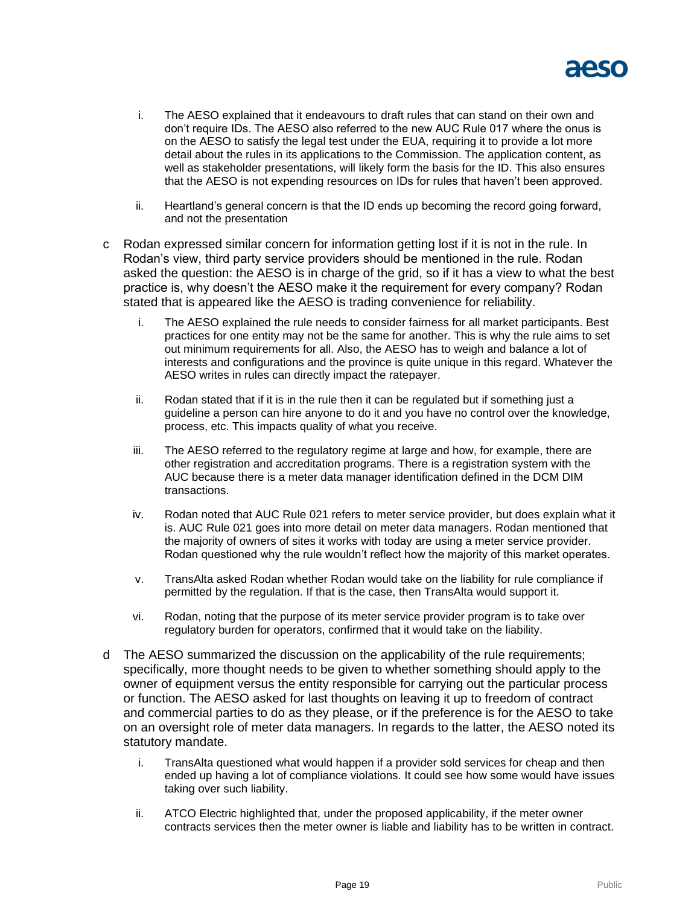

- i. The AESO explained that it endeavours to draft rules that can stand on their own and don't require IDs. The AESO also referred to the new AUC Rule 017 where the onus is on the AESO to satisfy the legal test under the EUA, requiring it to provide a lot more detail about the rules in its applications to the Commission. The application content, as well as stakeholder presentations, will likely form the basis for the ID. This also ensures that the AESO is not expending resources on IDs for rules that haven't been approved.
- ii. Heartland's general concern is that the ID ends up becoming the record going forward, and not the presentation
- c Rodan expressed similar concern for information getting lost if it is not in the rule. In Rodan's view, third party service providers should be mentioned in the rule. Rodan asked the question: the AESO is in charge of the grid, so if it has a view to what the best practice is, why doesn't the AESO make it the requirement for every company? Rodan stated that is appeared like the AESO is trading convenience for reliability.
	- i. The AESO explained the rule needs to consider fairness for all market participants. Best practices for one entity may not be the same for another. This is why the rule aims to set out minimum requirements for all. Also, the AESO has to weigh and balance a lot of interests and configurations and the province is quite unique in this regard. Whatever the AESO writes in rules can directly impact the ratepayer.
	- ii. Rodan stated that if it is in the rule then it can be regulated but if something just a guideline a person can hire anyone to do it and you have no control over the knowledge, process, etc. This impacts quality of what you receive.
	- iii. The AESO referred to the regulatory regime at large and how, for example, there are other registration and accreditation programs. There is a registration system with the AUC because there is a meter data manager identification defined in the DCM DIM transactions.
	- iv. Rodan noted that AUC Rule 021 refers to meter service provider, but does explain what it is. AUC Rule 021 goes into more detail on meter data managers. Rodan mentioned that the majority of owners of sites it works with today are using a meter service provider. Rodan questioned why the rule wouldn't reflect how the majority of this market operates.
	- v. TransAlta asked Rodan whether Rodan would take on the liability for rule compliance if permitted by the regulation. If that is the case, then TransAlta would support it.
	- vi. Rodan, noting that the purpose of its meter service provider program is to take over regulatory burden for operators, confirmed that it would take on the liability.
- d The AESO summarized the discussion on the applicability of the rule requirements; specifically, more thought needs to be given to whether something should apply to the owner of equipment versus the entity responsible for carrying out the particular process or function. The AESO asked for last thoughts on leaving it up to freedom of contract and commercial parties to do as they please, or if the preference is for the AESO to take on an oversight role of meter data managers. In regards to the latter, the AESO noted its statutory mandate.
	- i. TransAlta questioned what would happen if a provider sold services for cheap and then ended up having a lot of compliance violations. It could see how some would have issues taking over such liability.
	- ii. ATCO Electric highlighted that, under the proposed applicability, if the meter owner contracts services then the meter owner is liable and liability has to be written in contract.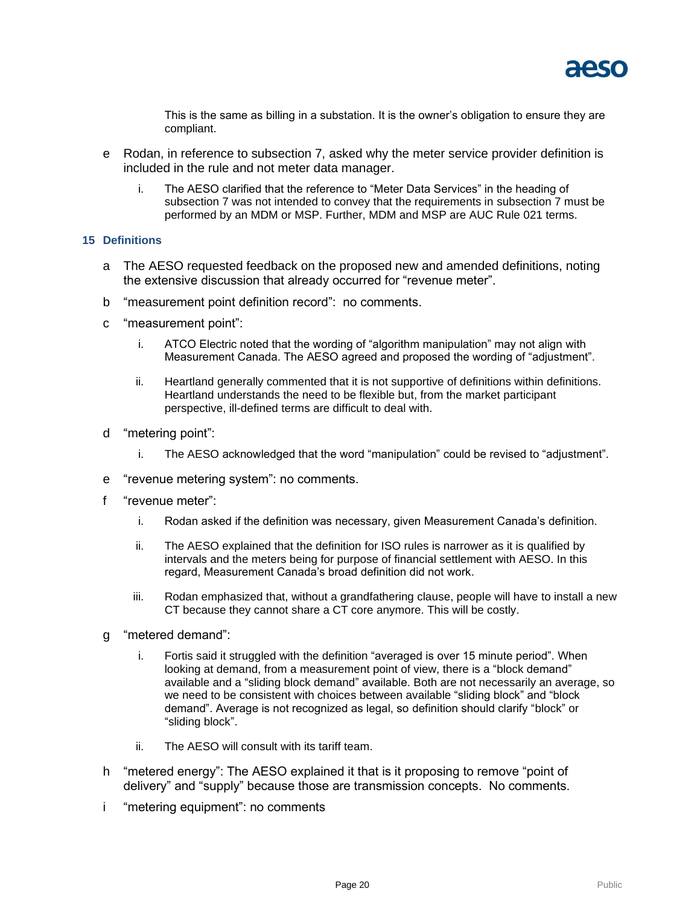This is the same as billing in a substation. It is the owner's obligation to ensure they are compliant.

- e Rodan, in reference to subsection 7, asked why the meter service provider definition is included in the rule and not meter data manager.
	- i. The AESO clarified that the reference to "Meter Data Services" in the heading of subsection 7 was not intended to convey that the requirements in subsection 7 must be performed by an MDM or MSP. Further, MDM and MSP are AUC Rule 021 terms.

## **15 Definitions**

- a The AESO requested feedback on the proposed new and amended definitions, noting the extensive discussion that already occurred for "revenue meter".
- b "measurement point definition record": no comments.
- c "measurement point":
	- i. ATCO Electric noted that the wording of "algorithm manipulation" may not align with Measurement Canada. The AESO agreed and proposed the wording of "adjustment".
	- ii. Heartland generally commented that it is not supportive of definitions within definitions. Heartland understands the need to be flexible but, from the market participant perspective, ill-defined terms are difficult to deal with.
- d "metering point":
	- i. The AESO acknowledged that the word "manipulation" could be revised to "adjustment".
- e "revenue metering system": no comments.
- f "revenue meter":
	- i. Rodan asked if the definition was necessary, given Measurement Canada's definition.
	- ii. The AESO explained that the definition for ISO rules is narrower as it is qualified by intervals and the meters being for purpose of financial settlement with AESO. In this regard, Measurement Canada's broad definition did not work.
	- iii. Rodan emphasized that, without a grandfathering clause, people will have to install a new CT because they cannot share a CT core anymore. This will be costly.
- g "metered demand":
	- i. Fortis said it struggled with the definition "averaged is over 15 minute period". When looking at demand, from a measurement point of view, there is a "block demand" available and a "sliding block demand" available. Both are not necessarily an average, so we need to be consistent with choices between available "sliding block" and "block demand". Average is not recognized as legal, so definition should clarify "block" or "sliding block".
	- ii. The AFSO will consult with its tariff team.
- h "metered energy": The AESO explained it that is it proposing to remove "point of delivery" and "supply" because those are transmission concepts. No comments.
- i "metering equipment": no comments